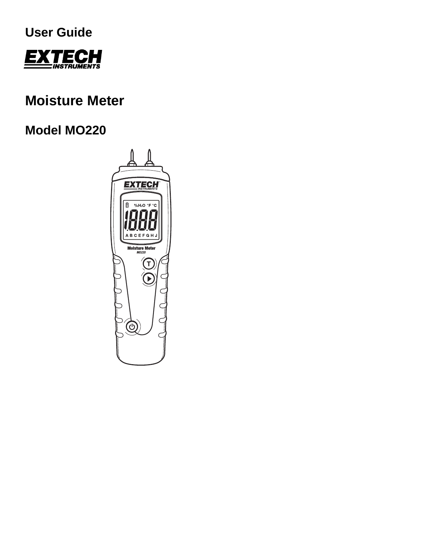



# **Moisture Meter**

# **Model MO220**

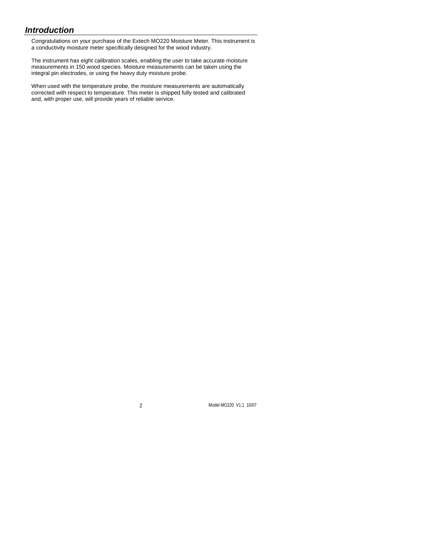## *Introduction*

Congratulations on your purchase of the Extech MO220 Moisture Meter. This instrument is a conductivity moisture meter specifically designed for the wood industry.

The instrument has eight calibration scales, enabling the user to take accurate moisture measurements in 150 wood species. Moisture measurements can be taken using the integral pin electrodes, or using the heavy duty moisture probe.

When used with the temperature probe, the moisture measurements are automatically corrected with respect to temperature. This meter is shipped fully tested and calibrated and, with proper use, will provide years of reliable service.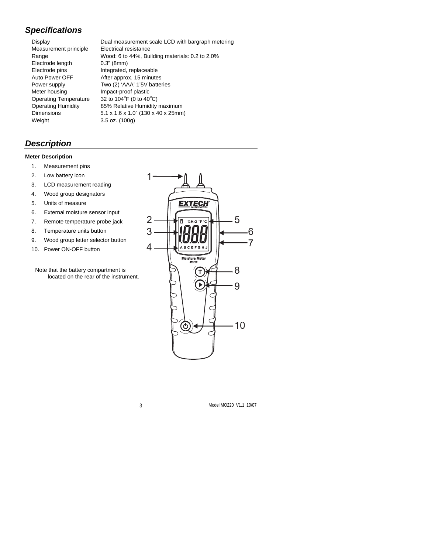## *Specifications*

| Display                      |
|------------------------------|
| Measurement principle        |
| Range                        |
| Electrode length             |
| Electrode pins               |
| Auto Power OFF               |
| Power supply                 |
| Meter housing                |
| <b>Operating Temperature</b> |
| <b>Operating Humidity</b>    |
| Dimensions                   |
| Weight                       |

Dual measurement scale LCD with bargraph metering Electrical resistance Wood: 6 to 44%, Building materials: 0.2 to 2.0%  $0.3"$  (8mm) Integrated, replaceable After approx. 15 minutes Two (2) 'AAA' 1'5V batteries Impact-proof plastic Operating Temperature  $32$  to 104<sup>°</sup>F (0 to 40<sup>°</sup>C) 85% Relative Humidity maximum 5.1 x 1.6 x 1.0" (130 x 40 x 25mm)  $3.5$  oz. (100g)

## *Description*

#### **Meter Description**

- 1. Measurement pins
- 2. Low battery icon
- 3. LCD measurement reading
- 4. Wood group designators
- 5. Units of measure
- 6. External moisture sensor input
- 7. Remote temperature probe jack
- 8. Temperature units button
- 9. Wood group letter selector button
- 10. Power ON-OFF button

Note that the battery compartment is located on the rear of the instrument.

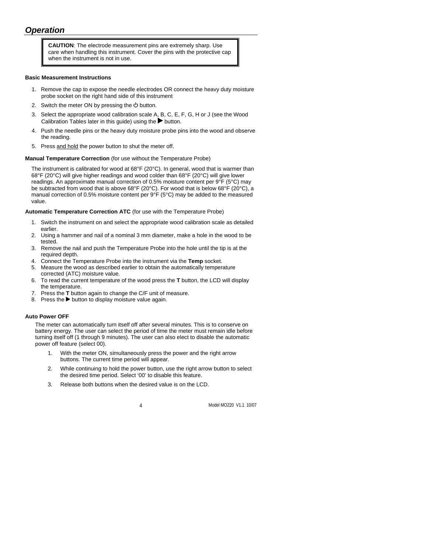# *Operation*

**CAUTION**: The electrode measurement pins are extremely sharp. Use care when handling this instrument. Cover the pins with the protective cap when the instrument is not in use.

#### **Basic Measurement Instructions**

- 1. Remove the cap to expose the needle electrodes OR connect the heavy duty moisture probe socket on the right hand side of this instrument
- 2. Switch the meter ON by pressing the  $\Phi$  button.
- 3. Select the appropriate wood calibration scale A, B, C, E, F, G, H or J (see the Wood Calibration Tables later in this quide) using the  $\blacktriangleright$  button.
- 4. Push the needle pins or the heavy duty moisture probe pins into the wood and observe the reading.
- 5. Press and hold the power button to shut the meter off.

#### **Manual Temperature Correction** (for use without the Temperature Probe)

The instrument is calibrated for wood at  $68^{\circ}F(20^{\circ}C)$ . In general, wood that is warmer than 68°F (20°C) will give higher readings and wood colder than 68°F (20°C) will give lower readings. An approximate manual correction of 0.5% moisture content per 9°F (5°C) may be subtracted from wood that is above 68°F (20°C). For wood that is below 68°F (20°C), a manual correction of 0.5% moisture content per 9°F (5°C) may be added to the measured value.

#### **Automatic Temperature Correction ATC** (for use with the Temperature Probe)

- 1. Switch the instrument on and select the appropriate wood calibration scale as detailed earlier.
- 2. Using a hammer and nail of a nominal 3 mm diameter, make a hole in the wood to be tested.
- 3. Remove the nail and push the Temperature Probe into the hole until the tip is at the required depth.
- 4. Connect the Temperature Probe into the instrument via the **Temp** socket.
- 5. Measure the wood as described earlier to obtain the automatically temperature corrected (ATC) moisture value.
- 6. To read the current temperature of the wood press the **T** button, the LCD will display the temperature.
- 7. Press the **T** button again to change the C/F unit of measure.
- 8. Press the  $\blacktriangleright$  button to display moisture value again.

#### **Auto Power OFF**

The meter can automatically turn itself off after several minutes. This is to conserve on battery energy. The user can select the period of time the meter must remain idle before turning itself off (1 through 9 minutes). The user can also elect to disable the automatic power off feature (select 00).

- 1. With the meter ON, simultaneously press the power and the right arrow buttons. The current time period will appear.
- 2. While continuing to hold the power button, use the right arrow button to select the desired time period. Select '00' to disable this feature.
- 3. Release both buttons when the desired value is on the LCD.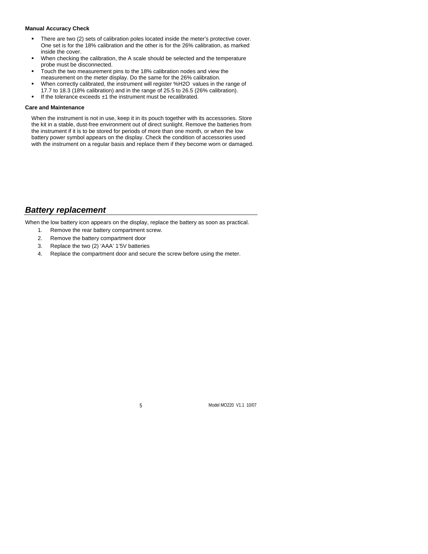#### **Manual Accuracy Check**

- There are two (2) sets of calibration poles located inside the meter's protective cover. One set is for the 18% calibration and the other is for the 26% calibration, as marked inside the cover.
- When checking the calibration, the A scale should be selected and the temperature probe must be disconnected.
- Touch the two measurement pins to the 18% calibration nodes and view the measurement on the meter display. Do the same for the 26% calibration.
- When correctly calibrated, the instrument will register %H2O values in the range of 17.7 to 18.3 (18% calibration) and in the range of 25.5 to 26.5 (26% calibration).
- If the tolerance exceeds ±1 the instrument must be recalibrated.

#### **Care and Maintenance**

When the instrument is not in use, keep it in its pouch together with its accessories. Store the kit in a stable, dust-free environment out of direct sunlight. Remove the batteries from the instrument if it is to be stored for periods of more than one month, or when the low battery power symbol appears on the display. Check the condition of accessories used with the instrument on a regular basis and replace them if they become worn or damaged.

## *Battery replacement*

When the low battery icon appears on the display, replace the battery as soon as practical.

- 1. Remove the rear battery compartment screw.
- 2. Remove the battery compartment door
- 3. Replace the two (2) 'AAA' 1'5V batteries
- 4. Replace the compartment door and secure the screw before using the meter.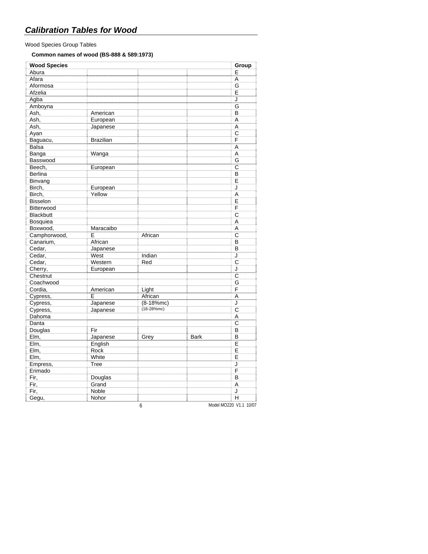## Wood Species Group Tables

### **Common names of wood (BS-888 & 589:1973)**

| <b>Wood Species</b> |                  |               |             | Group                   |
|---------------------|------------------|---------------|-------------|-------------------------|
| Abura               |                  |               |             | E                       |
| Afara               |                  |               |             | A                       |
| Aformosa            |                  |               |             | G                       |
| Afzelia             |                  |               |             | E                       |
| Agba                |                  |               |             | J                       |
| Amboyna             |                  |               |             | G                       |
| Ash,                | American         |               |             | B                       |
| Ash,                | European         |               |             | A                       |
| Ash,                | Japanese         |               |             | Α                       |
| Ayan                |                  |               |             | $\overline{C}$          |
| Baguacu,            | <b>Brazilian</b> |               |             | F                       |
| <b>Balsa</b>        |                  |               |             | A                       |
| Banga               | Wanga            |               |             | A                       |
| Basswood            |                  |               |             | G                       |
| Beech,              | European         |               |             | C                       |
| <b>Berlina</b>      |                  |               |             | B                       |
| Binvang             |                  |               |             | E                       |
| Birch,              | European         |               |             | J                       |
| Birch,              | Yellow           |               |             | A                       |
| <b>Bisselon</b>     |                  |               |             | E                       |
| Bitterwood          |                  |               |             | F                       |
| <b>Blackbutt</b>    |                  |               |             | C                       |
| Bosquiea            |                  |               |             | Α                       |
| Boxwood,            | Maracaibo        |               |             | A                       |
| Camphorwood,        | E                | African       |             | C                       |
| Canarium,           | African          |               |             | B                       |
| Cedar,              | Japanese         |               |             | B                       |
| Cedar,              | West             | Indian        |             | J                       |
| Cedar,              | Western          | Red           |             | C                       |
| Cherry,             | European         |               |             | J                       |
| Chestnut            |                  |               |             | $\overline{\mathrm{c}}$ |
| Coachwood           |                  |               |             | G                       |
| Cordia,             | American         | Light         |             | F                       |
| Cypress,            | E                | African       |             | Α                       |
| Cypress,            | Japanese         | $(8-18\%$ mc) |             | J                       |
| Cypress,            | Japanese         | $(18-28%mc)$  |             | C                       |
| Dahoma              |                  |               |             | A                       |
| Danta               |                  |               |             | C                       |
| Douglas             | Fir              |               |             | B                       |
| Elm,                | Japanese         | Grey          | <b>Bark</b> | B                       |
| Elm,                | English          |               |             | E                       |
| Elm,                | Rock             |               |             | E                       |
| Elm,                | White            |               |             | E                       |
| Empress,            | Tree             |               |             | J                       |
| Erimado             |                  |               |             | F                       |
| Fir,                | Douglas          |               |             | B                       |
| Fir,                | Grand            |               |             | A                       |
| Fir,                | Noble            |               |             | J                       |
| Gegu,               | Nohor            |               |             | H                       |

6 Model MO220 V1.1 10/07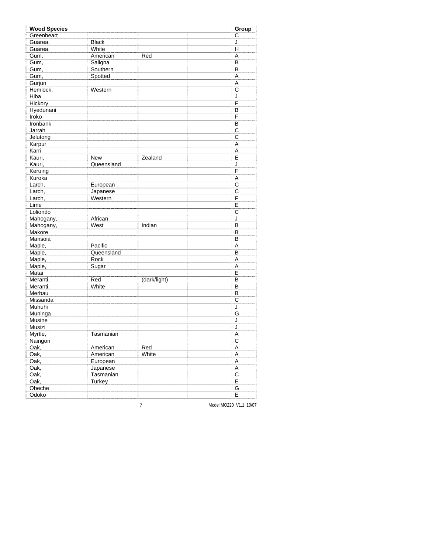| <b>Wood Species</b> |              |              | Group                   |
|---------------------|--------------|--------------|-------------------------|
| Greenheart          |              |              | C                       |
| Guarea,             | <b>Black</b> |              | J                       |
| Guarea,             | White        |              | Н                       |
| Gum,                | American     | Red          | A                       |
| Gum,                | Saligna      |              | B                       |
| Gum,                | Southern     |              | B                       |
| Gum,                | Spotted      |              | A                       |
| Gurjun              |              |              | A                       |
| Hemlock,            | Western      |              | C                       |
| Hiba                |              |              | J                       |
| Hickory             |              |              | F                       |
| Hyedunani           |              |              | B                       |
| Iroko               |              |              | F                       |
| Ironbank            |              |              | B                       |
| Jarrah              |              |              | C                       |
| Jelutong            |              |              | C                       |
| Karpur              |              |              | A                       |
| Karri               |              |              | Α                       |
| Kauri,              | New          | Zealand      | E                       |
| Kauri,              | Queensland   |              | J                       |
| Keruing             |              |              | F                       |
| Kuroka              |              |              | A                       |
| Larch,              | European     |              | C                       |
| Larch,              | Japanese     |              | C                       |
| Larch,              | Western      |              | F                       |
| Lime                |              |              | E                       |
| Loliondo            |              |              | C                       |
| Mahogany,           | African      |              | J                       |
| Mahogany,           | West         | Indian       | B                       |
| Makore              |              |              | B                       |
| Mansoia             |              |              | B                       |
| Maple,              | Pacific      |              | A                       |
| Maple,              | Queensland   |              | B                       |
| Maple,              | Rock         |              | A                       |
| Maple,              | Sugar        |              | A                       |
| Matai               |              |              | E                       |
| Meranti,            | Red          | (dark/light) | B                       |
| Meranti,            | White        |              | B                       |
| Merbau              |              |              | B                       |
| Missanda            |              |              | C                       |
| Muhuhi              |              |              | J                       |
| Muninga             |              |              | G                       |
| Musine              |              |              | J                       |
| Musizi              |              |              | J                       |
| Myrtle,             | Tasmanian    |              | A                       |
| Naingon             |              |              | C                       |
| Oak,                | American     | Red          | A                       |
| Oak,                | American     | White        | $\overline{\mathsf{A}}$ |
| Oak,                | European     |              | A                       |
| Oak,                | Japanese     |              | Α                       |
| Oak,                | Tasmanian    |              | $\overline{\mathrm{c}}$ |
| Oak,                | Turkey       |              | E                       |
| Obeche              |              |              | $\overline{G}$          |
| Odoko               |              |              | E                       |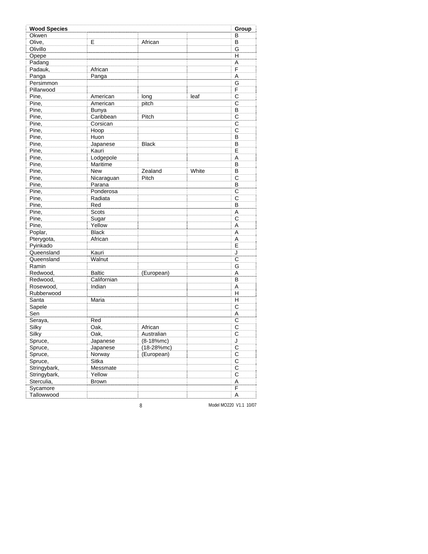| <b>Wood Species</b> |                |              |       | Group                   |
|---------------------|----------------|--------------|-------|-------------------------|
| Okwen               |                |              |       | в                       |
| Olive,              | E              | African      |       | B                       |
| Olivillo            |                |              |       | G                       |
| Opepe               |                |              |       | н                       |
| Padang              |                |              |       | Α                       |
| Padauk,             | African        |              |       | F                       |
| Panga               | Panga          |              |       | A                       |
| Persimmon           |                |              |       | G                       |
| Pillarwood          |                |              |       | F                       |
| Pine,               | American       | long         | leaf  | C                       |
| Pine,               | American       | pitch        |       | C                       |
| Pine,               | Bunya          |              |       | B                       |
| Pine,               | Caribbean      | Pitch        |       | C                       |
| Pine,               | Corsican       |              |       | $\overline{C}$          |
| Pine,               | Hoop           |              |       | C                       |
| Pine,               | Huon           |              |       | B                       |
| Pine,               | Japanese       | <b>Black</b> |       | B                       |
| Pine,               | Kauri          |              |       | E                       |
| Pine,               | Lodgepole      |              |       | A                       |
| Pine,               | Maritime       |              |       | B                       |
| Pine,               | <b>New</b>     | Zealand      | White | B                       |
| Pine,               | Nicaraguan     | Pitch        |       | C                       |
| Pine,               | Parana         |              |       | B                       |
| Pine,               | Ponderosa      |              |       | C                       |
| Pine,               |                |              |       | Ċ                       |
| Pine,               | Radiata<br>Red |              |       | B                       |
| Pine,               | Scots          |              |       | A                       |
| Pine,               | Sugar          |              |       | C                       |
| Pine,               | Yellow         |              |       |                         |
|                     |                |              |       | A                       |
| Poplar,             | <b>Black</b>   |              |       | A                       |
| Pterygota,          | African        |              |       | Α                       |
| Pyinkado            |                |              |       | E                       |
| Queensland          | Kauri          |              |       | J                       |
| Queensland          | Walnut         |              |       | C                       |
| Ramin               |                |              |       | G                       |
| Redwood,            | <b>Baltic</b>  | (European)   |       | Α                       |
| Redwood,            | Californian    |              |       | В                       |
| Rosewood,           | Indian         |              |       | A                       |
| Rubberwood          |                |              |       | Н                       |
| Santa               | Maria          |              |       | н                       |
| Sapele              |                |              |       | C                       |
| Sen                 |                |              |       | A                       |
| Seraya,             | Red            |              |       | C                       |
| Silky               | Oak,           | African      |       | C                       |
| Silky               | Oak,           | Australian   |       | C                       |
| Spruce,             | Japanese       | $(8-18%mc)$  |       | J                       |
| Spruce,             | Japanese       | $(18-28%mc)$ |       | $\overline{\mathrm{c}}$ |
| Spruce,             | Norway         | (European)   |       | $\overline{\mathrm{c}}$ |
| Spruce,             | Sitka          |              |       | $\overline{C}$          |
| Stringybark,        | Messmate       |              |       | $\overline{C}$          |
| Stringybark,        | Yellow         |              |       | $\overline{\mathsf{C}}$ |
| Sterculia,          | <b>Brown</b>   |              |       | Α                       |
| Sycamore            |                |              |       | F                       |
| Tallowwood          |                |              |       | Α                       |

8 Model MO220 V1.1 10/07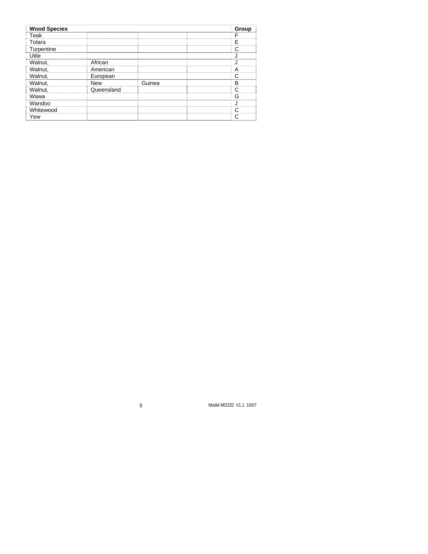| <b>Wood Species</b> |            |        | Group |
|---------------------|------------|--------|-------|
| Teak                |            |        |       |
| Totara              |            |        | F     |
| Turpentine          |            |        | ⌒     |
| Utile               |            |        |       |
| Walnut,             | African    |        |       |
| Walnut,             | American   |        | А     |
| Walnut,             | European   |        |       |
| Walnut,             | <b>New</b> | Guinea | в     |
| Walnut,             | Queensland |        | ⌒     |
| Wawa                |            |        | G     |
| Wandoo              |            |        |       |
| Whitewood           |            |        | ⌒     |
| Yew                 |            |        |       |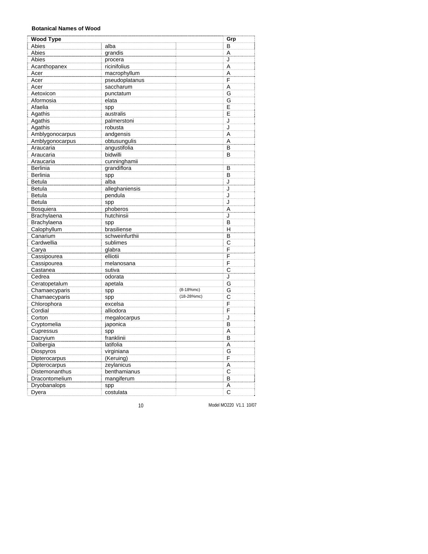#### **Botanical Names of Wood**

| <b>Wood Type</b> |                |              | Grp |
|------------------|----------------|--------------|-----|
| Abies            | alba           |              | в   |
| Abies            | grandis        |              | Α   |
| Abies            | procera        |              | J   |
| Acanthopanex     | ricinifolius   |              | A   |
| Acer             | macrophyllum   |              | A   |
| Acer             | pseudoplatanus |              | F   |
| Acer             | saccharum      |              | A   |
| Aetoxicon        | punctatum      |              | G   |
| Aformosia        | elata          |              | G   |
| Afaelia          | spp            |              | E   |
| Agathis          | australis      |              | E   |
| Agathis          | palmerstoni    |              | J   |
| Agathis          | robusta        |              | J   |
| Amblygonocarpus  | andgensis      |              | A   |
| Amblygonocarpus  | obtusungulis   |              | A   |
| Araucaria        | angustifolia   |              | B   |
| Araucaria        | bidwilli       |              | B   |
| Araucaria        | cunninghamii   |              |     |
| <b>Berlinia</b>  | grandiflora    |              | B   |
| <b>Berlinia</b>  | spp            |              | B   |
| Betula           | alba           |              | J   |
| <b>Betula</b>    | alleghaniensis |              | J   |
| <b>Betula</b>    | pendula        |              | J   |
| <b>Betula</b>    | spp            |              | J   |
| Bosquiera        | phoberos       |              | A   |
| Brachylaena      | hutchinsii     |              | J   |
| Brachylaena      | spp            |              | B   |
| Calophyllum      | brasiliense    |              | н   |
| Canarium         | schweinfurthii |              | B   |
| Cardwellia       | sublimes       |              | C   |
| Carya            | glabra         |              | F   |
| Cassipourea      | elliotii       |              | F   |
| Cassipourea      | melanosana     |              | F   |
| Castanea         | sutiva         |              | C   |
| Cedrea           | odorata        |              | J   |
| Ceratopetalum    | apetala        |              | G   |
| Chamaecyparis    | spp            | $(8-18%mc)$  | G   |
| Chamaecyparis    | spp            | $(18-28%mc)$ | C   |
| Chlorophora      | excelsa        |              | F   |
| Cordial          | alliodora      |              | F   |
| Corton           | megalocarpus   |              | J   |
| Cryptomelia      | japonica       |              | B   |
| Cupressus        | spp            |              | A   |
| Dacryium         | franklinii     |              | B   |
| Dalbergia        | latifolia      |              | Α   |
| Diospyros        | virginiana     |              | G   |
| Dipterocarpus    | (Keruing)      |              | F   |
| Dipterocarpus    | zeylanicus     |              | A   |
| Distemonanthus   | benthamianus   |              | C   |
| Dracontomelium   | mangiferum     |              | B   |
| Dryobanalops     | spp            |              | A   |
| Dyera            | costulata      |              | C   |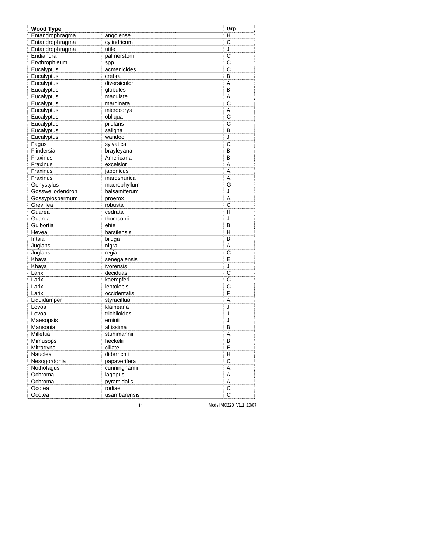| <b>Wood Type</b> |              | Grp                     |
|------------------|--------------|-------------------------|
| Entandrophragma  | angolense    | н                       |
| Entandrophragma  | cylindricum  | С                       |
| Entandrophragma  | utile        | J                       |
| Endiandra        | palmerstoni  | $\overline{C}$          |
| Erythrophleum    | spp          | С                       |
| Eucalyptus       | acmenicides  | C                       |
| Eucalyptus       | crebra       | B                       |
| Eucalyptus       | diversicolor | A                       |
| Eucalyptus       | globules     | B                       |
| Eucalyptus       | maculate     | Α                       |
| Eucalyptus       | marginata    | C                       |
| Eucalyptus       | microcorys   | Α                       |
| Eucalyptus       | obliqua      | C                       |
| Eucalyptus       | pilularis    | $\overline{C}$          |
| Eucalyptus       | saligna      | B                       |
| Eucalyptus       | wandoo       | J                       |
| Fagus            | sylvatica    | C                       |
| Flindersia       | brayleyana   | B                       |
| Fraxinus         | Americana    | B                       |
| Fraxinus         | excelsior    | Α                       |
| Fraxinus         | japonicus    | A                       |
| Fraxinus         | mardshurica  | A                       |
| Gonystylus       | macrophyllum | G                       |
| Gossweilodendron | balsamiferum | J                       |
| Gossypiospermum  | proerox      | A                       |
| Grevillea        | robusta      | C                       |
| Guarea           | cedrata      | н                       |
| Guarea           | thomsonii    | J                       |
| Guibortia        | ehie         | B                       |
| Hevea            | barsilensis  | н                       |
| Intsia           | bijuga       | B                       |
| Juglans          | nigra        | A                       |
| Juglans          | regia        | C                       |
| Khaya            | senegalensis | E                       |
| Khaya            | ivorensis    | J                       |
| Larix            | deciduas     | C                       |
| Larix            | kaempferi    | $\mathsf{C}$            |
| Larix            | leptolepis   | C                       |
| Larix            | occidentalis | F                       |
| Liquidamper      | styraciflua  | A                       |
| Lovoa            | klaineana    | J                       |
| Lovoa            | trichiloides | J                       |
| Maesopsis        | eminii       | J                       |
| Mansonia         | altissima    | В                       |
| Millettia        | stuhimannii  | A                       |
| Mimusops         | heckelii     | B                       |
| Mitragyna        | ciliate      | E                       |
| Nauclea          | diderrichii  | н                       |
| Nesogordonia     | papaverifera | $\overline{C}$          |
| Nothofagus       | cunninghamii | A                       |
| Ochroma          | lagopus      | А                       |
| Ochroma          | pyramidalis  | Α                       |
| Ocotea           | rodiaei      | $\overline{\mathrm{c}}$ |
| Ocotea           | usambarensis | С                       |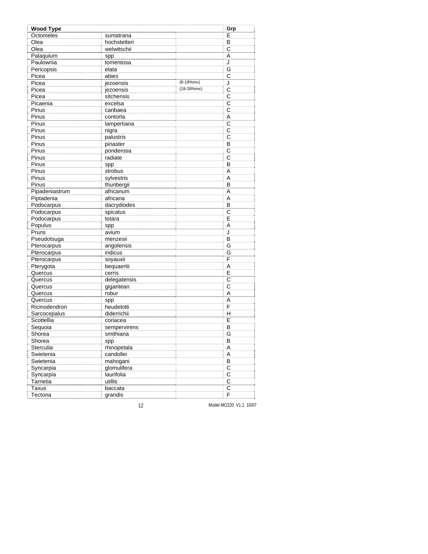| <b>Wood Type</b> |              |              | Grp                     |
|------------------|--------------|--------------|-------------------------|
| Octomeles        | sumatrana    |              | Е                       |
| Olea             | hochstetteri |              | В                       |
| Olea             | welwitschii  |              | C                       |
| Palaquium        | spp          |              | Α                       |
| Paulownia        | tomentosa    |              | J                       |
| Pericopsis       | elata        |              | G                       |
| Picea            | abies        |              | C                       |
| Picea            | jezoensis    | $(8-18%mc)$  | J                       |
| Picea            | jezoensis    | $(18-28%mc)$ | C                       |
| Picea            | sitchensis   |              | C                       |
| Picaenia         | excelsa      |              | $\overline{\text{c}}$   |
| Pinus            | caribaea     |              | C                       |
| Pinus            | contorta     |              | A                       |
| Pinus            | lampertiana  |              | $\overline{C}$          |
| Pinus            | nigra        |              | C                       |
| Pinus            | palustris    |              | C                       |
| Pinus            | pinaster     |              | В                       |
| Pinus            | ponderosa    |              | C                       |
| Pinus            | radiate      |              | C                       |
| Pinus            | spp          |              | B                       |
| Pinus            | strobus      |              | A                       |
| Pinus            | sylvestris   |              | A                       |
| Pinus            | thunbergii   |              | в                       |
| Pipadeniastrum   | africanum    |              | A                       |
| Piptadenia       | africana     |              | A                       |
| Podocarpus       | dacrydiodes  |              | B                       |
| Podocarpus       | spicatus     |              | $\overline{C}$          |
| Podocarpus       | totara       |              | E                       |
| Populus          | spp          |              | A                       |
| Pruns            | avium        |              | J                       |
| Pseudotsuga      | menzesii     |              | В                       |
| Pterocarpus      | angolensis   |              | G                       |
| Pterocarpus      | indicus      |              | G                       |
| Pterocarpus      | soyauxii     |              | F                       |
| Pterygota        | bequaertii   |              | Α                       |
| Quercus          | cerris       |              | E                       |
| Quercus          | delegatensis |              | $\overline{C}$          |
| Quercus          | gigantean    |              | С                       |
| Quercus          | robur        |              | A                       |
| Quercus          | spp          |              | A                       |
| Ricinodendron    | heudelotti   |              | F                       |
| Sarcocepalus     | diderrichii  |              | н                       |
| Scottellia       | coriacea     |              | E                       |
| Sequoia          | sempervirens |              | В                       |
| Shorea           | smithiana    |              | G                       |
| Shorea           | spp          |              | в                       |
| Sterculia        | rhinopetala  |              | Α                       |
| Swietenia        | candollei    |              | А                       |
| Swietenia        | mahogani     |              | $\overline{B}$          |
| Syncarpia        | glomulifera  |              | $\overline{\text{C}}$   |
| Syncarpia        | laurifolia   |              | $\overline{C}$          |
| Tarrietia        | utillis      |              | $\overline{\mathsf{C}}$ |
| <b>Taxus</b>     | baccata      |              | $\overline{\mathrm{c}}$ |
| Tectona          | grandis      |              | F                       |
|                  |              |              |                         |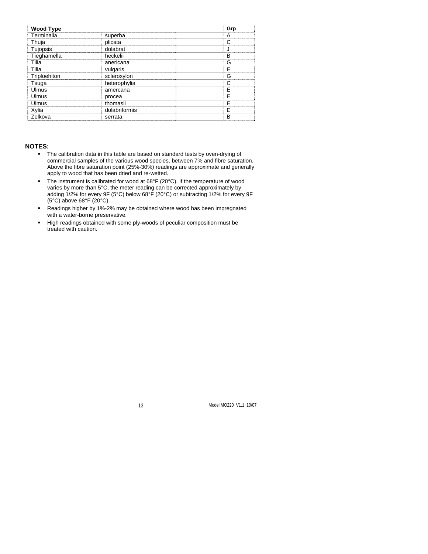| <b>Wood Type</b> |               | Grp   |
|------------------|---------------|-------|
| Terminalia       | superba       |       |
| Thuja            | plicata       |       |
| Tujopsis         | dolabrat      |       |
| Tieghamella      | heckelii      | B<br> |
| Tilia            | anericana     |       |
| Tilia            | vulgaris      |       |
| Triploehiton     | scleroxylon   |       |
| Tsuga            | heterophylia  |       |
| Ulmus            | amercana      |       |
| Ulmus            | procea        |       |
| Ulmus            | thomasii      |       |
| Xylia            | dolabriformis |       |
| Zelkova          | serrata       | в     |

#### **NOTES:**

- The calibration data in this table are based on standard tests by oven-drying of commercial samples of the various wood species, between 7% and fibre saturation. Above the fibre saturation point (25%-30%) readings are approximate and generally apply to wood that has been dried and re-wetted.
- The instrument is calibrated for wood at 68°F (20°C). If the temperature of wood varies by more than 5°C, the meter reading can be corrected approximately by adding 1/2% for every 9F (5°C) below 68°F (20°C) or subtracting 1/2% for every 9F  $(5^{\circ}C)$  above 68 $^{\circ}F(20^{\circ}C)$ .
- Readings higher by 1%-2% may be obtained where wood has been impregnated with a water-borne preservative.
- High readings obtained with some ply-woods of peculiar composition must be treated with caution.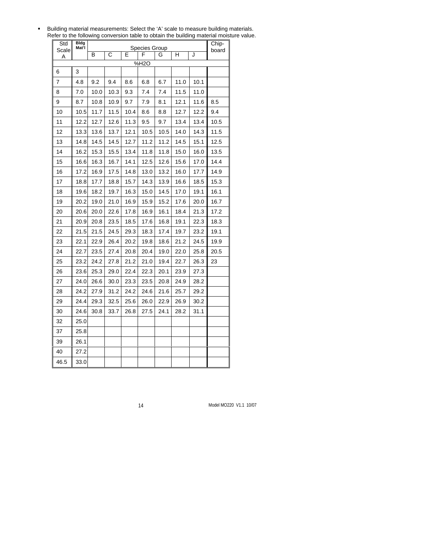| Building material measurements: Select the 'A' scale to measure building materials.     |
|-----------------------------------------------------------------------------------------|
| Refer to the following conversion table to obtain the building material moisture value. |

| Std<br>Scale | Bldg<br>Mat'l |      | <b>Species Group</b> |      |      |      |      | Chip-<br>board |      |
|--------------|---------------|------|----------------------|------|------|------|------|----------------|------|
| Α            |               | В    | C                    | F    |      | G    | н    | J              |      |
|              |               |      |                      |      | %H2O |      |      |                |      |
| 6            | 3             |      |                      |      |      |      |      |                |      |
| 7            | 4.8           | 9.2  | 9.4                  | 8.6  | 6.8  | 6.7  | 11.0 | 10.1           |      |
| 8            | 7.0           | 10.0 | 10.3                 | 9.3  | 7.4  | 7.4  | 11.5 | 11.0           |      |
| 9            | 8.7           | 10.8 | 10.9                 | 9.7  | 7.9  | 8.1  | 12.1 | 11.6           | 8.5  |
| 10           | 10.5          | 11.7 | 11.5                 | 10.4 | 8.6  | 8.8  | 12.7 | 12.2           | 9.4  |
| 11           | 12.2          | 12.7 | 12.6                 | 11.3 | 9.5  | 9.7  | 13.4 | 13.4           | 10.5 |
| 12           | 13.3          | 13.6 | 13.7                 | 12.1 | 10.5 | 10.5 | 14.0 | 14.3           | 11.5 |
| 13           | 14.8          | 14.5 | 14.5                 | 12.7 | 11.2 | 11.2 | 14.5 | 15.1           | 12.5 |
| 14           | 16.2          | 15.3 | 15.5                 | 13.4 | 11.8 | 11.8 | 15.0 | 16.0           | 13.5 |
| 15           | 16.6          | 16.3 | 16.7                 | 14.1 | 12.5 | 12.6 | 15.6 | 17.0           | 14.4 |
| 16           | 17.2          | 16.9 | 17.5                 | 14.8 | 13.0 | 13.2 | 16.0 | 17.7           | 14.9 |
| 17           | 18.8          | 17.7 | 18.8                 | 15.7 | 14.3 | 13.9 | 16.6 | 18.5           | 15.3 |
| 18           | 19.6          | 18.2 | 19.7                 | 16.3 | 15.0 | 14.5 | 17.0 | 19.1           | 16.1 |
| 19           | 20.2          | 19.0 | 21.0                 | 16.9 | 15.9 | 15.2 | 17.6 | 20.0           | 16.7 |
| 20           | 20.6          | 20.0 | 22.6                 | 17.8 | 16.9 | 16.1 | 18.4 | 21.3           | 17.2 |
| 21           | 20.9          | 20.8 | 23.5                 | 18.5 | 17.6 | 16.8 | 19.1 | 22.3           | 18.3 |
| 22           | 21.5          | 21.5 | 24.5                 | 29.3 | 18.3 | 17.4 | 19.7 | 23.2           | 19.1 |
| 23           | 22.1          | 22.9 | 26.4                 | 20.2 | 19.8 | 18.6 | 21.2 | 24.5           | 19.9 |
| 24           | 22.7          | 23.5 | 27.4                 | 20.8 | 20.4 | 19.0 | 22.0 | 25.8           | 20.5 |
| 25           | 23.2          | 24.2 | 27.8                 | 21.2 | 21.0 | 19.4 | 22.7 | 26.3           | 23   |
| 26           | 23.6          | 25.3 | 29.0                 | 22.4 | 22.3 | 20.1 | 23.9 | 27.3           |      |
| 27           | 24.0          | 26.6 | 30.0                 | 23.3 | 23.5 | 20.8 | 24.9 | 28.2           |      |
| 28           | 24.2          | 27.9 | 31.2                 | 24.2 | 24.6 | 21.6 | 25.7 | 29.2           |      |
| 29           | 24.4          | 29.3 | 32.5                 | 25.6 | 26.0 | 22.9 | 26.9 | 30.2           |      |
| 30           | 24.6          | 30.8 | 33.7                 | 26.8 | 27.5 | 24.1 | 28.2 | 31.1           |      |
| 32           | 25.0          |      |                      |      |      |      |      |                |      |
| 37           | 25.8          |      |                      |      |      |      |      |                |      |
| 39           | 26.1          |      |                      |      |      |      |      |                |      |
| 40           | 27.2          |      |                      |      |      |      |      |                |      |
| 46.5         | 33.0          |      |                      |      |      |      |      |                |      |